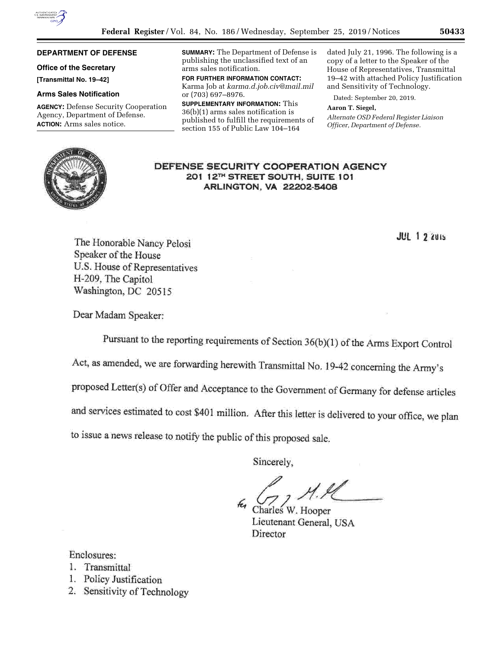

## **DEPARTMENT OF DEFENSE**

# **Office of the Secretary**

**[Transmittal No. 19–42]** 

## **Arms Sales Notification**

**AGENCY:** Defense Security Cooperation Agency, Department of Defense. **ACTION:** Arms sales notice.

**SUMMARY:** The Department of Defense is publishing the unclassified text of an arms sales notification.

**FOR FURTHER INFORMATION CONTACT:**  Karma Job at *[karma.d.job.civ@mail.mil](mailto:karma.d.job.civ@mail.mil)*  or (703) 697–8976.

**SUPPLEMENTARY INFORMATION:** This 36(b)(1) arms sales notification is published to fulfill the requirements of section 155 of Public Law 104–164

dated July 21, 1996. The following is a copy of a letter to the Speaker of the House of Representatives, Transmittal 19–42 with attached Policy Justification and Sensitivity of Technology.

Dated: September 20, 2019.

#### **Aaron T. Siegel,**

*Alternate OSD Federal Register Liaison Officer, Department of Defense.* 



DEFENSE SECURITY COOPERATION AGENCY 201 12TH STREET SOUTH, SUITE 101 **ARLINGTON, VA 22202-5408** 

**JUL 1 2 2015** 

The Honorable Nancy Pelosi Speaker of the House U.S. House of Representatives H-209, The Capitol Washington, DC 20515

Dear Madam Speaker:

Pursuant to the reporting requirements of Section 36(b)(1) of the Arms Export Control

Act, as amended, we are forwarding herewith Transmittal No. 19-42 concerning the Army's

proposed Letter(s) of Offer and Acceptance to the Government of Germany for defense articles

and services estimated to cost \$401 million. After this letter is delivered to your office, we plan

to issue a news release to notify the public of this proposed sale.

Sincerely,

Charles W. Hooper Lieutenant General, USA Director

Enclosures:

- 1. Transmittal
- 1. Policy Justification
- 2. Sensitivity of Technology